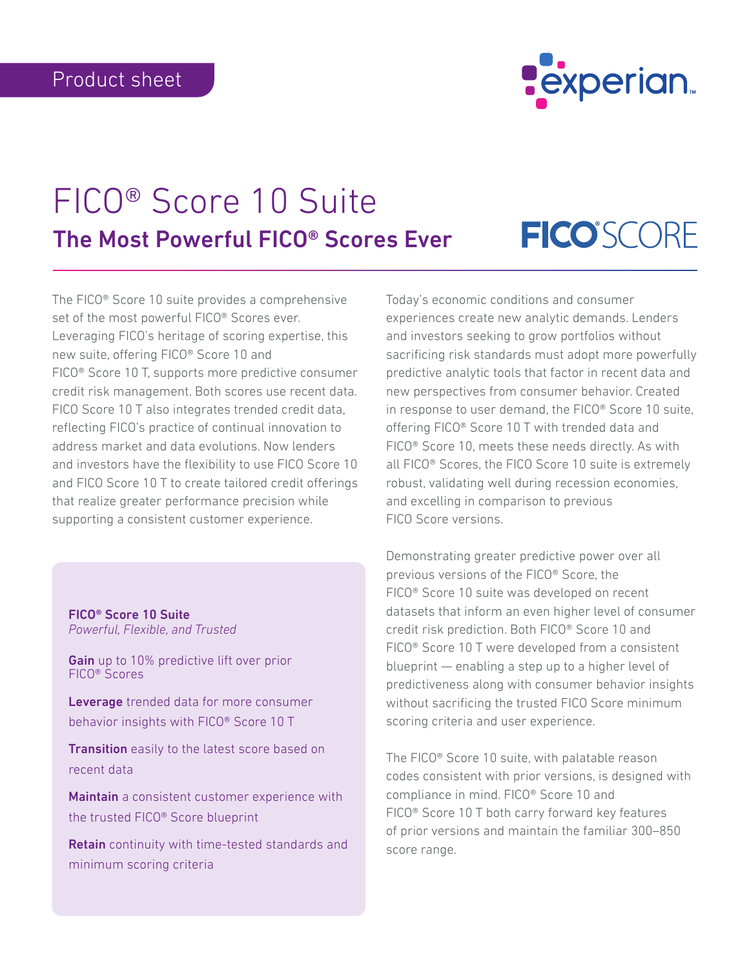

# FICO® Score 10 Suite The Most Powerful FICO® Scores Ever

# **FICO**SCORE

The FICO® Score 10 suite provides a comprehensive set of the most powerful FICO® Scores ever. Leveraging FICO's heritage of scoring expertise, this new suite, offering FICO® Score 10 and FICO® Score 10 T, supports more predictive consumer credit risk management. Both scores use recent data. FICO Score 10 T also integrates trended credit data, reflecting FICO's practice of continual innovation to address market and data evolutions. Now lenders and investors have the flexibility to use FICO Score 10 and FICO Score 10 T to create tailored credit offerings that realize greater performance precision while supporting a consistent customer experience.

FICO® Score 10 Suite *Powerful, Flexible, and Trusted*

Gain up to 10% predictive lift over prior FICO® Scores

Leverage trended data for more consumer behavior insights with FICO® Score 10 T

**Transition** easily to the latest score based on recent data

Maintain a consistent customer experience with the trusted FICO® Score blueprint

Retain continuity with time-tested standards and minimum scoring criteria

Today's economic conditions and consumer experiences create new analytic demands. Lenders and investors seeking to grow portfolios without sacrificing risk standards must adopt more powerfully predictive analytic tools that factor in recent data and new perspectives from consumer behavior. Created in response to user demand, the FICO® Score 10 suite, offering FICO® Score 10 T with trended data and FICO® Score 10, meets these needs directly. As with all FICO® Scores, the FICO Score 10 suite is extremely robust, validating well during recession economies, and excelling in comparison to previous FICO Score versions.

Demonstrating greater predictive power over all previous versions of the FICO® Score, the FICO® Score 10 suite was developed on recent datasets that inform an even higher level of consumer credit risk prediction. Both FICO® Score 10 and FICO® Score 10 T were developed from a consistent blueprint — enabling a step up to a higher level of predictiveness along with consumer behavior insights without sacrificing the trusted FICO Score minimum scoring criteria and user experience.

The FICO® Score 10 suite, with palatable reason codes consistent with prior versions, is designed with compliance in mind. FICO® Score 10 and FICO® Score 10 T both carry forward key features of prior versions and maintain the familiar 300–850 score range.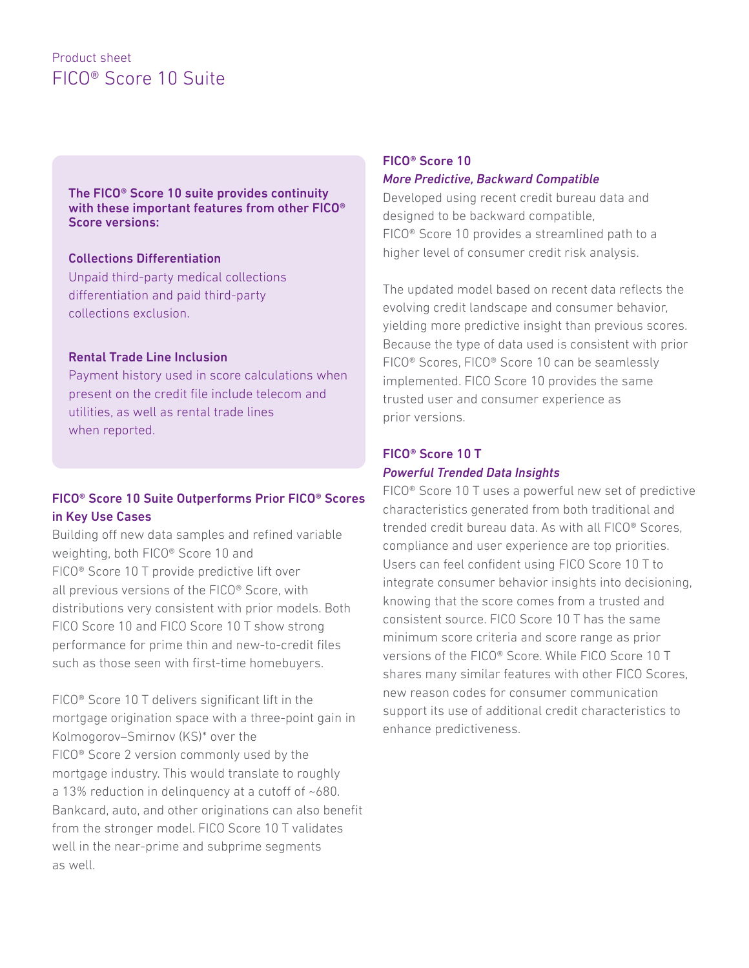# Product sheet FICO® Score 10 Suite

The FICO® Score 10 suite provides continuity with these important features from other FICO® Score versions:

#### Collections Differentiation

Unpaid third-party medical collections differentiation and paid third-party collections exclusion.

#### Rental Trade Line Inclusion

Payment history used in score calculations when present on the credit file include telecom and utilities, as well as rental trade lines when reported.

## FICO® Score 10 Suite Outperforms Prior FICO® Scores in Key Use Cases

Building off new data samples and refined variable weighting, both FICO® Score 10 and FICO® Score 10 T provide predictive lift over all previous versions of the FICO® Score, with distributions very consistent with prior models. Both FICO Score 10 and FICO Score 10 T show strong performance for prime thin and new-to-credit files such as those seen with first-time homebuyers.

FICO® Score 10 T delivers significant lift in the mortgage origination space with a three-point gain in Kolmogorov–Smirnov (KS)\* over the FICO® Score 2 version commonly used by the mortgage industry. This would translate to roughly a 13% reduction in delinquency at a cutoff of ~680. Bankcard, auto, and other originations can also benefit from the stronger model. FICO Score 10 T validates well in the near-prime and subprime segments as well.

#### FICO® Score 10 *More Predictive, Backward Compatible*

Developed using recent credit bureau data and designed to be backward compatible, FICO® Score 10 provides a streamlined path to a higher level of consumer credit risk analysis.

The updated model based on recent data reflects the evolving credit landscape and consumer behavior, yielding more predictive insight than previous scores. Because the type of data used is consistent with prior FICO® Scores, FICO® Score 10 can be seamlessly implemented. FICO Score 10 provides the same trusted user and consumer experience as prior versions.

## FICO® Score 10 T *Powerful Trended Data Insights*

FICO® Score 10 T uses a powerful new set of predictive characteristics generated from both traditional and trended credit bureau data. As with all FICO® Scores, compliance and user experience are top priorities. Users can feel confident using FICO Score 10 T to integrate consumer behavior insights into decisioning, knowing that the score comes from a trusted and consistent source. FICO Score 10 T has the same minimum score criteria and score range as prior versions of the FICO® Score. While FICO Score 10 T shares many similar features with other FICO Scores, new reason codes for consumer communication support its use of additional credit characteristics to enhance predictiveness.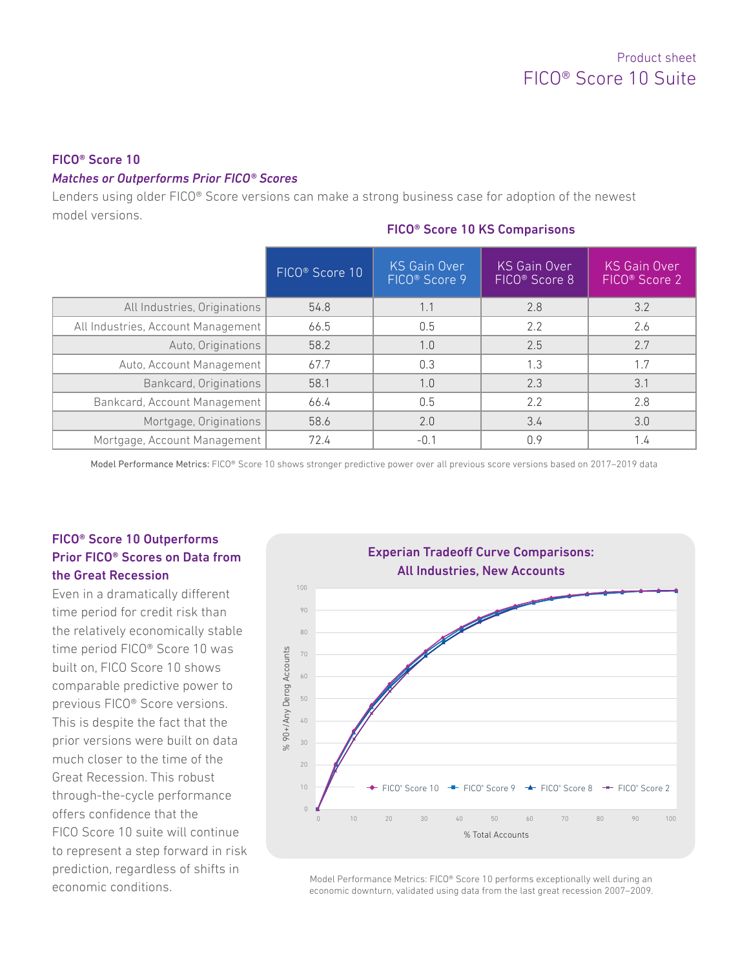#### FICO® Score 10

#### *Matches or Outperforms Prior FICO® Scores*

Lenders using older FICO® Score versions can make a strong business case for adoption of the newest model versions.

#### FICO® Score 10 KS Comparisons

|                                    | FICO <sup>®</sup> Score 10 | <b>KS Gain Over</b><br>FICO <sup>®</sup> Score 9 | <b>KS Gain Over</b><br>FICO <sup>®</sup> Score 8 | <b>KS Gain Over</b><br>FICO <sup>®</sup> Score 2 |
|------------------------------------|----------------------------|--------------------------------------------------|--------------------------------------------------|--------------------------------------------------|
| All Industries, Originations       | 54.8                       | 1.1                                              | 2.8                                              | 3.2                                              |
| All Industries, Account Management | 66.5                       | 0.5                                              | 2.2                                              | 2.6                                              |
| Auto, Originations                 | 58.2                       | 1.0                                              | 2.5                                              | 2.7                                              |
| Auto, Account Management           | 67.7                       | 0.3                                              | 1.3                                              | 1.7                                              |
| Bankcard, Originations             | 58.1                       | 1.0                                              | 2.3                                              | 3.1                                              |
| Bankcard, Account Management       | 66.4                       | 0.5                                              | 2.2                                              | 2.8                                              |
| Mortgage, Originations             | 58.6                       | 2.0                                              | 3.4                                              | 3.0                                              |
| Mortgage, Account Management       | 72.4                       | $-0.1$                                           | 0.9                                              | 1.4                                              |

Model Performance Metrics: FICO® Score 10 shows stronger predictive power over all previous score versions based on 2017–2019 data

#### FICO® Score 10 Outperforms Prior FICO® Scores on Data from the Great Recession

Even in a dramatically different time period for credit risk than the relatively economically stable time period FICO® Score 10 was built on, FICO Score 10 shows comparable predictive power to previous FICO® Score versions. This is despite the fact that the prior versions were built on data much closer to the time of the Great Recession. This robust through-the-cycle performance offers confidence that the FICO Score 10 suite will continue to represent a step forward in risk prediction, regardless of shifts in economic conditions.



Model Performance Metrics: FICO® Score 10 performs exceptionally well during an economic downturn, validated using data from the last great recession 2007–2009.